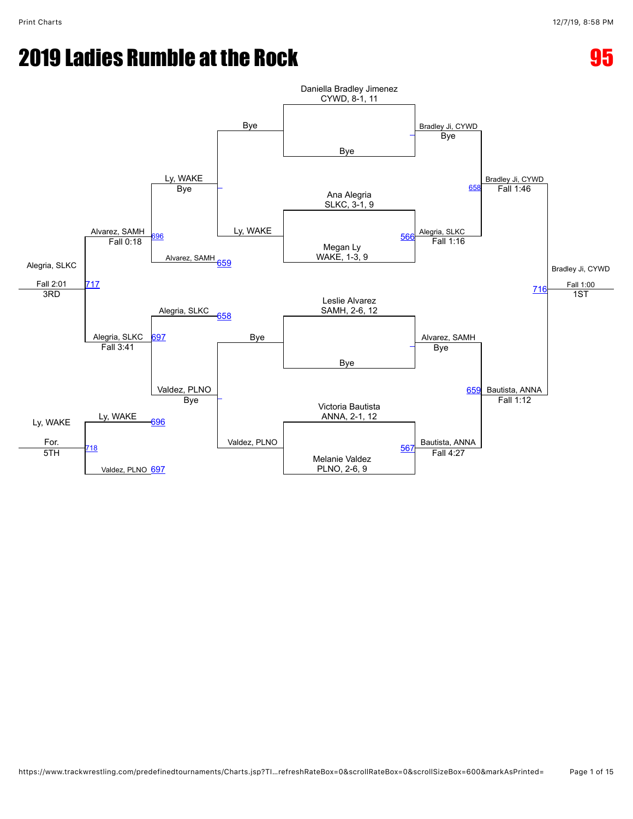# **2019 Ladies Rumble at the Rock 600 Except 2019 Ladies Rumble at the Rock 600 Except 2019 Ladies**

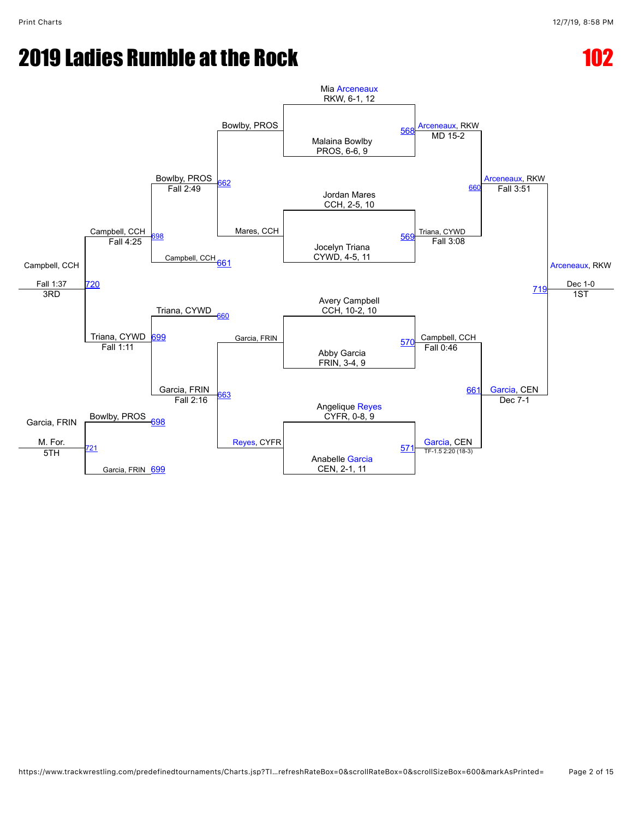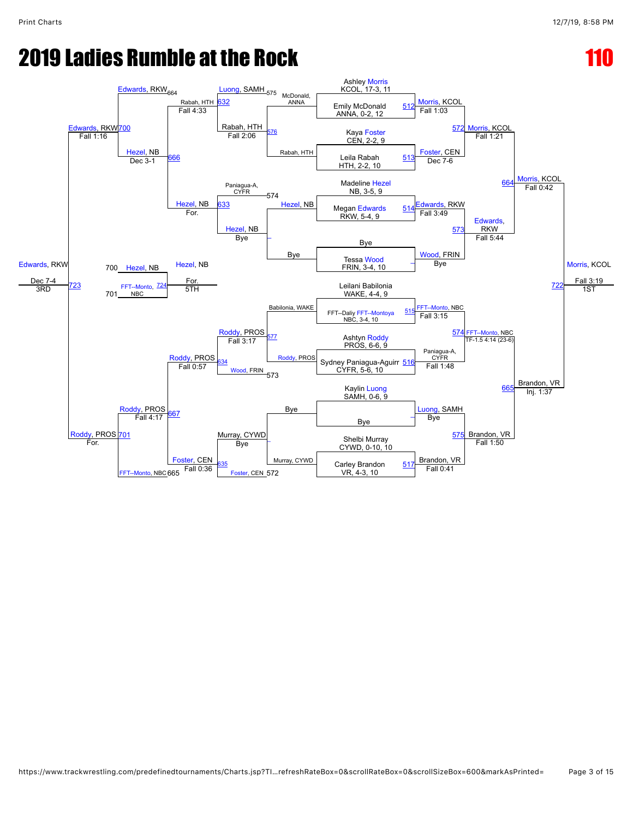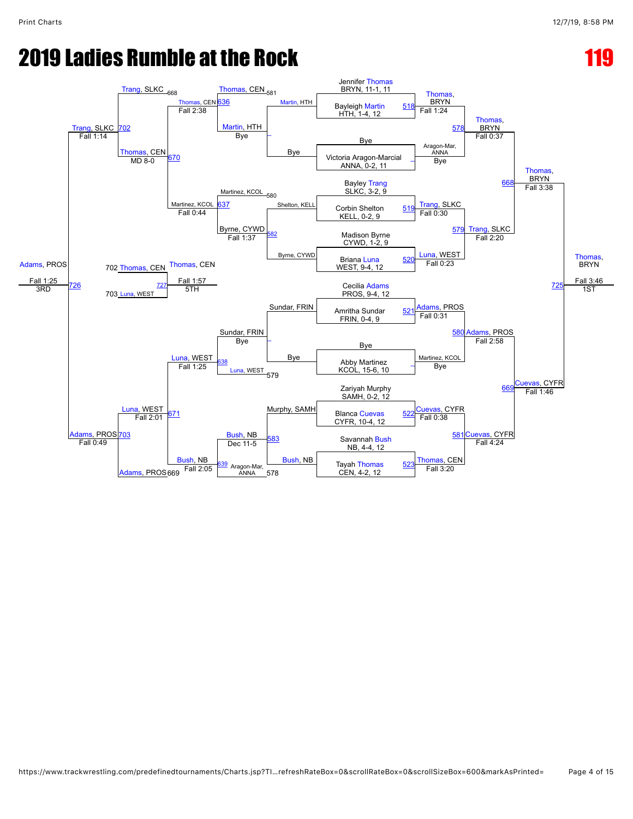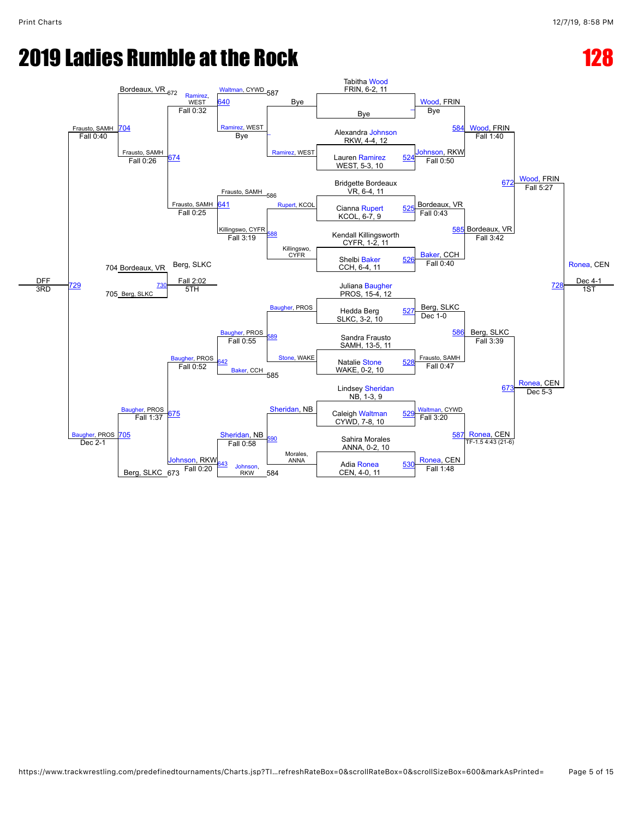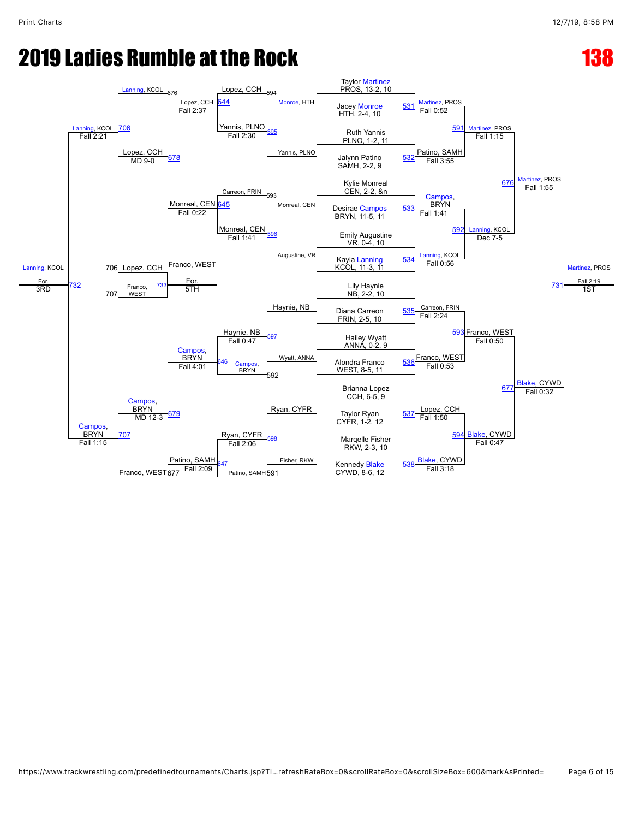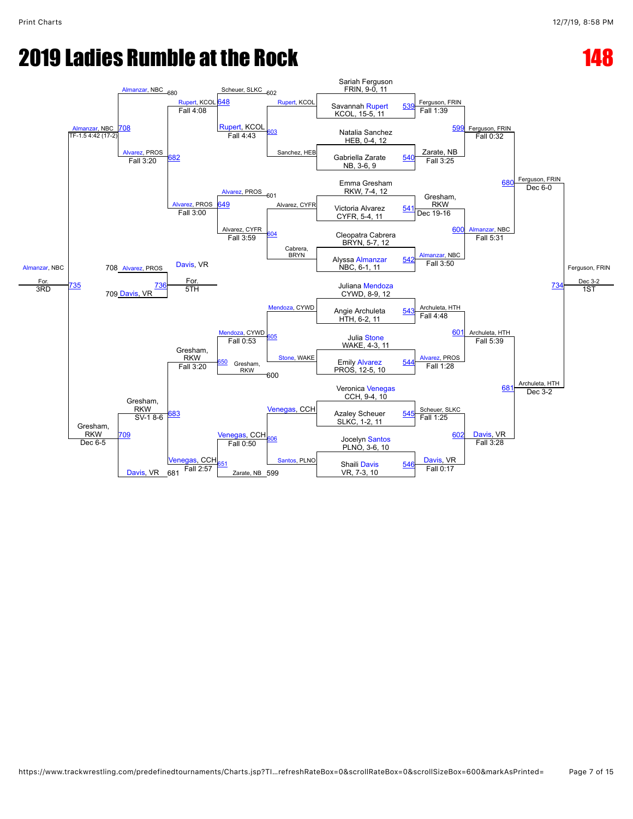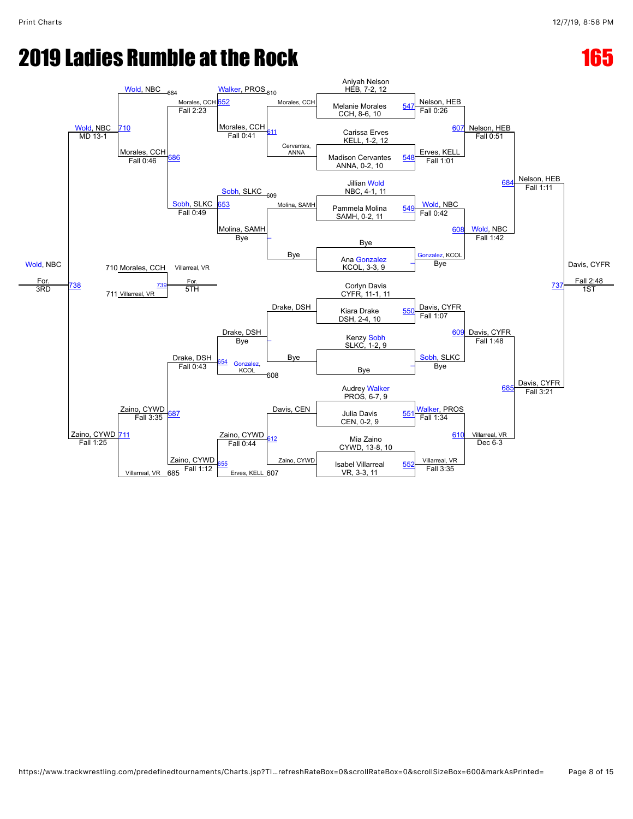### **2019 Ladies Rumble at the Rock 165 Page 165 Page 165 Page 165 Page 165 Page 165 Page 165 Page 166 Page 166 Page 166 Page 166 Page 166 Page 166 Page 166 Page 166 Page 166 Page 166 Page 166 Page 166 Page 166 Page 166 Page 1**

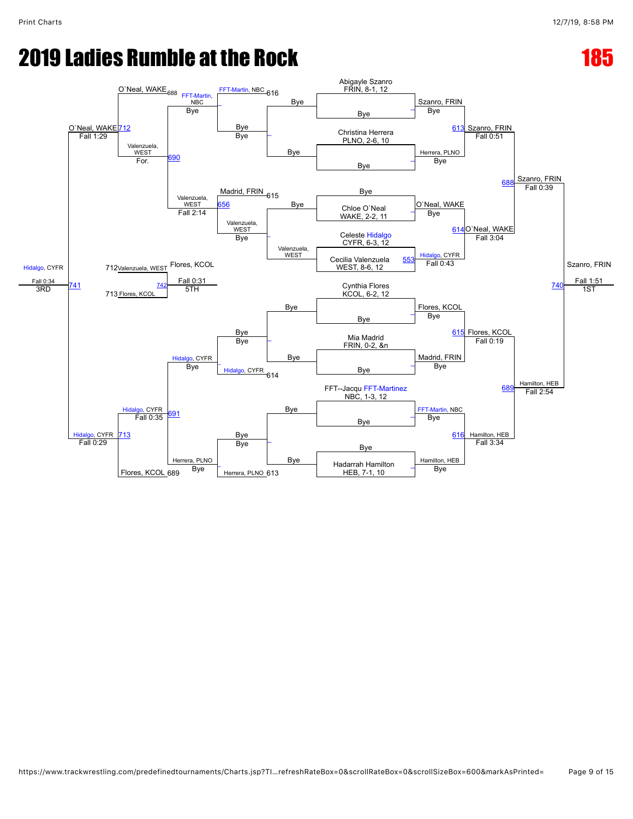## **2019 Ladies Rumble at the Rock 185 Page 185**

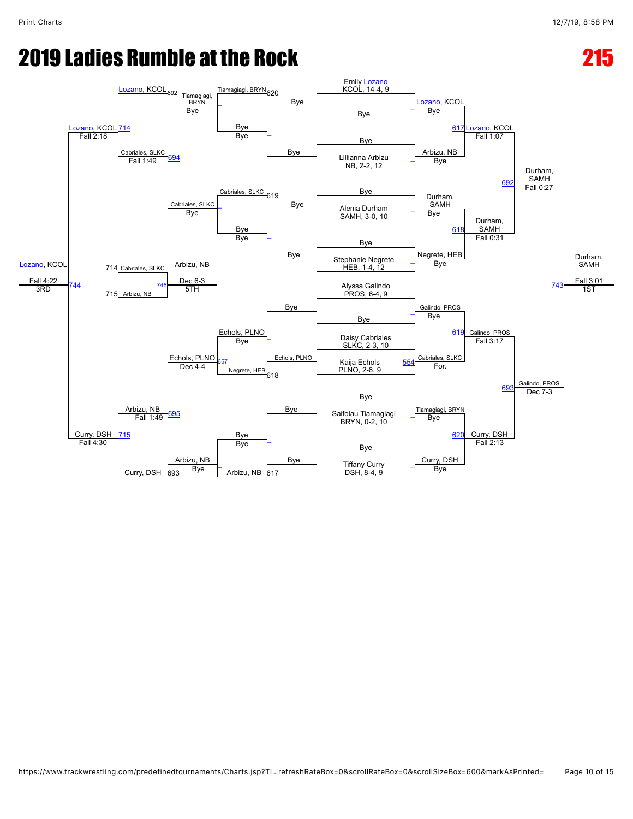## **2019 Ladies Rumble at the Rock 2019 Ladies 215**

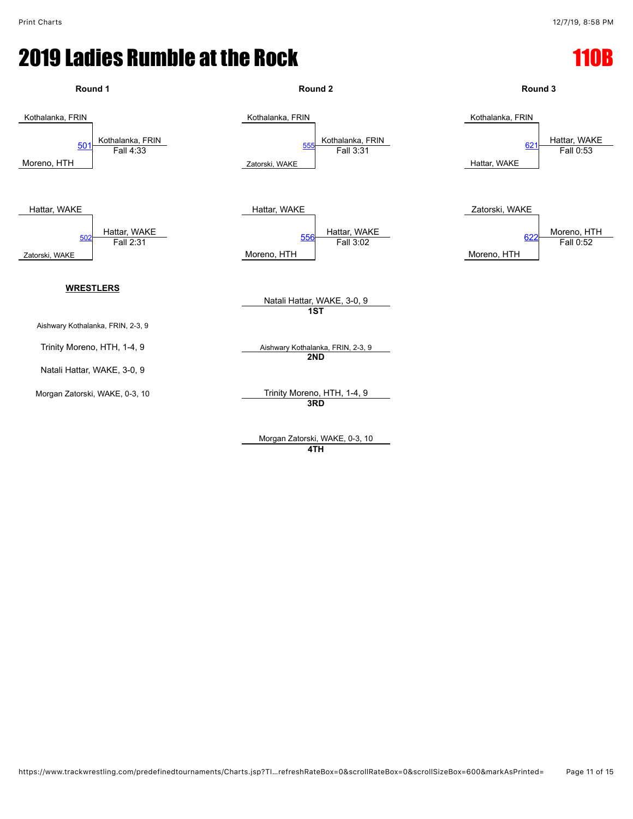

Morgan Zatorski, WAKE, 0-3, 10 **4TH**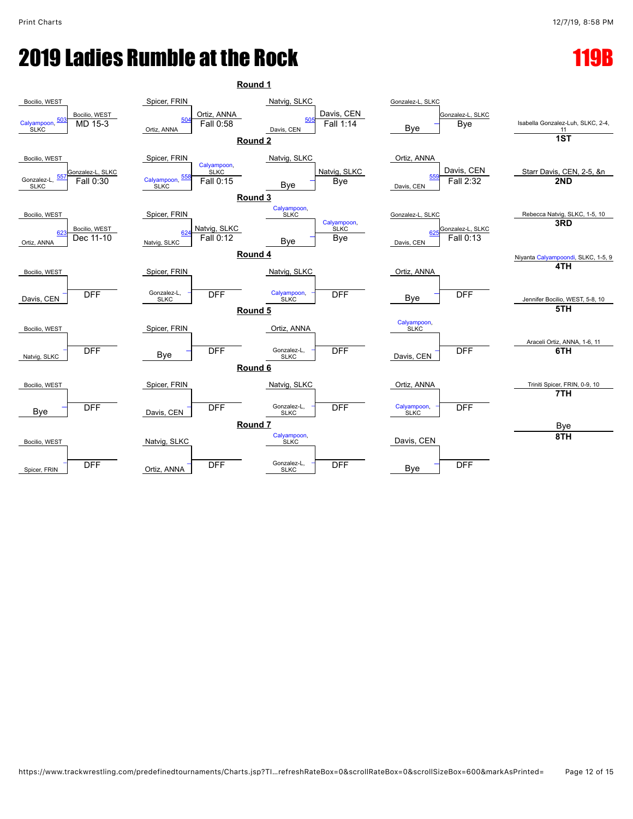## **2019 Ladies Rumble at the Rock 119 Property 119 Property 119**

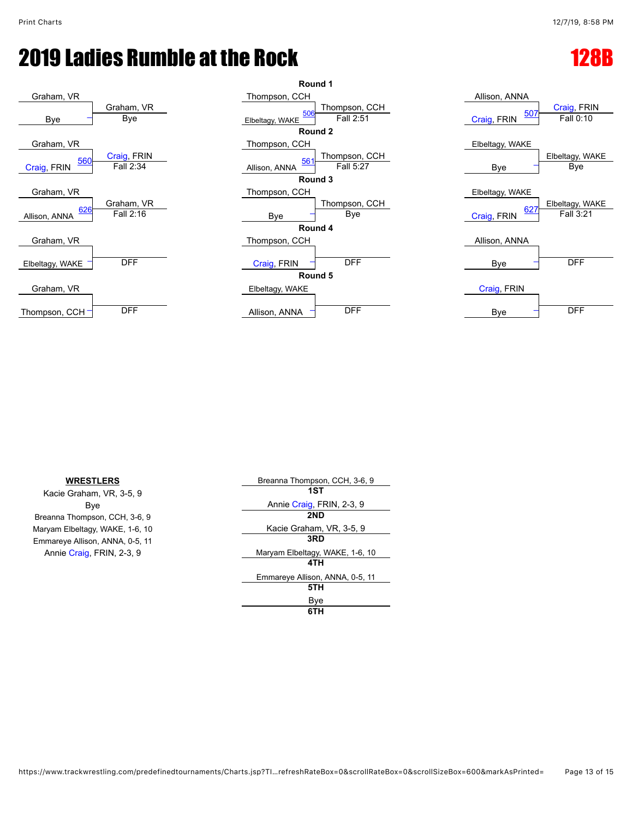





| <b>WRESTLERS</b>                | Breanna Thompson, CCH, 3-6, 9   |
|---------------------------------|---------------------------------|
| Kacie Graham, VR, 3-5, 9        | 1ST                             |
| Bye                             | Annie Craig, FRIN, 2-3, 9       |
| Breanna Thompson, CCH, 3-6, 9   | 2ND                             |
| Maryam Elbeltagy, WAKE, 1-6, 10 | Kacie Graham, VR, 3-5, 9        |
| Emmareye Allison, ANNA, 0-5, 11 | 3RD                             |
| Annie Craig, FRIN, 2-3, 9       | Maryam Elbeltagy, WAKE, 1-6, 10 |
|                                 | 4TH                             |
|                                 | Emmareye Allison, ANNA, 0-5, 11 |
|                                 | 5TH                             |
|                                 | Bye                             |
|                                 | 6TH                             |
|                                 |                                 |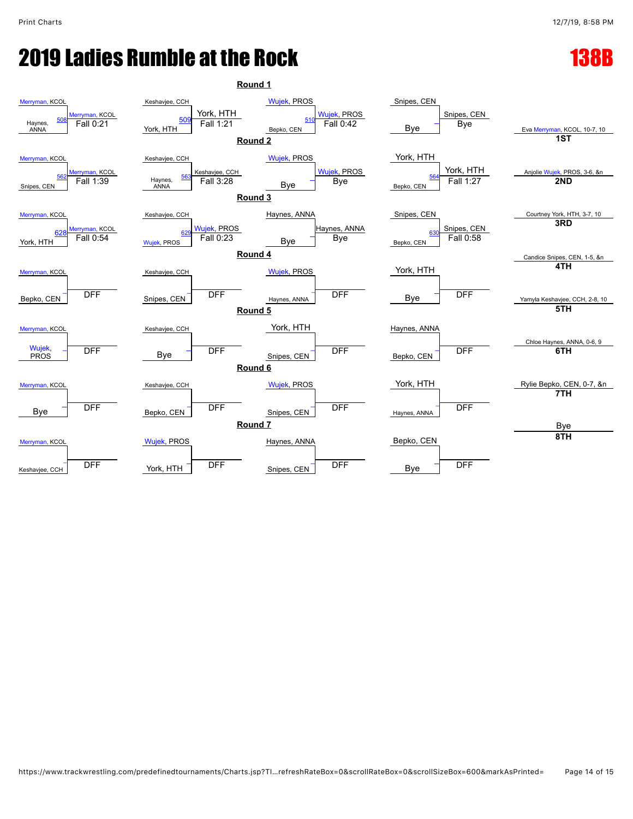